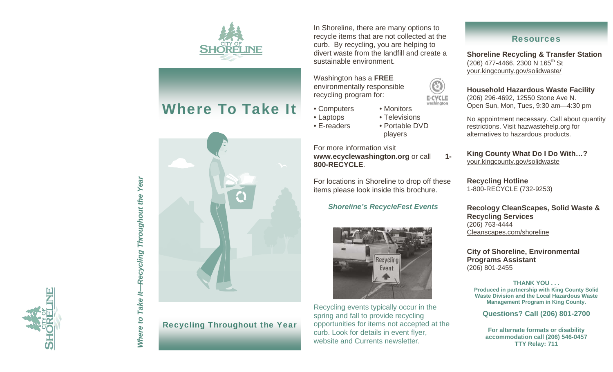

## Where To Take It



## Recycling Throughout the Year

In Shoreline, there are many options to recycle items that are not collected at the curb. By recycling, you are helping to divert waste from the landfill and create a sustainable environment.

Washington has a **FREE** environmentally responsible recycling program for:

- Computers Monitors
- Laptops Televisions

E-CYCLE

• E-readers • Portable DVD players

For more information visit **www.ecyclewashington.org** or call **1- 800-RECYCLE**.

For locations in Shoreline to drop off these items please look inside this brochure.

#### *Shoreline's RecycleFest Events*



Recycling events typically occur in the spring and fall to provide recycling opportunities for items not accepted at the curb. Look for details in event flyer, website and Currents newsletter*.*

### **Resources**

**Shoreline Recycling & Transfer Station**  (206) 477-4466, 2300 N 165<sup>th</sup> St your.kingcounty.gov/solidwaste/

**Household Hazardous Waste Facility**  (206) 296-4692, 12550 Stone Ave N. Open Sun, Mon, Tues, 9:30 am—4:30 pm

No appointment necessary. Call about quantity restrictions. Visit hazwastehelp.org for alternatives to hazardous products.

**King County What Do I Do With…?**  your.kingcounty.gov/solidwaste

**Recycling Hotline**  1-800-RECYCLE (732-9253)

**Recology CleanScapes, Solid Waste & Recycling Services**  (206) 763-4444 Cleanscapes.com/shoreline

**City of Shoreline, Environmental Programs Assistant** (206) 801-2455

**THANK YOU . . . Produced in partnership with King County Solid Waste Division and the Local Hazardous Waste Management Program in King County.** 

**Questions? Call (206) 801-2700** 

**For alternate formats or disability accommodation call (206) 546-0457 TTY Relay: 711**